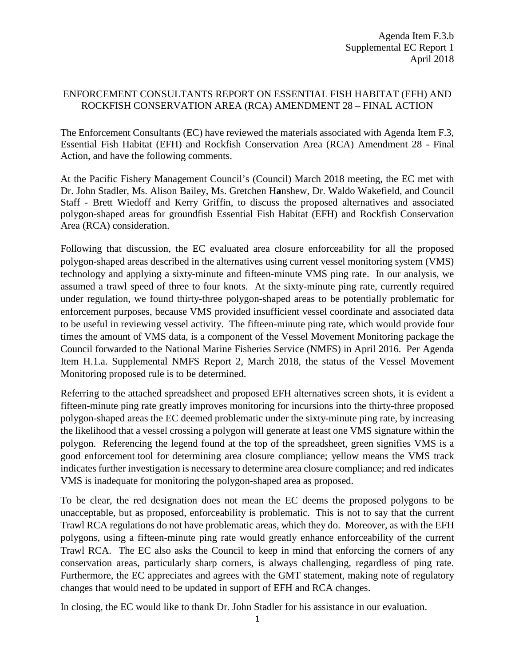#### ENFORCEMENT CONSULTANTS REPORT ON ESSENTIAL FISH HABITAT (EFH) AND ROCKFISH CONSERVATION AREA (RCA) AMENDMENT 28 – FINAL ACTION

The Enforcement Consultants (EC) have reviewed the materials associated with Agenda Item F.3, Essential Fish Habitat (EFH) and Rockfish Conservation Area (RCA) Amendment 28 - Final Action, and have the following comments.

At the Pacific Fishery Management Council's (Council) March 2018 meeting, the EC met with Dr. John Stadler, Ms. Alison Bailey, Ms. Gretchen H**a**nshew, Dr. Waldo Wakefield, and Council Staff - Brett Wiedoff and Kerry Griffin, to discuss the proposed alternatives and associated polygon-shaped areas for groundfish Essential Fish Habitat (EFH) and Rockfish Conservation Area (RCA) consideration.

Following that discussion, the EC evaluated area closure enforceability for all the proposed polygon-shaped areas described in the alternatives using current vessel monitoring system (VMS) technology and applying a sixty-minute and fifteen-minute VMS ping rate. In our analysis, we assumed a trawl speed of three to four knots. At the sixty-minute ping rate, currently required under regulation, we found thirty-three polygon-shaped areas to be potentially problematic for enforcement purposes, because VMS provided insufficient vessel coordinate and associated data to be useful in reviewing vessel activity. The fifteen-minute ping rate, which would provide four times the amount of VMS data, is a component of the Vessel Movement Monitoring package the Council forwarded to the National Marine Fisheries Service (NMFS) in April 2016. Per Agenda Item H.1.a. Supplemental NMFS Report 2, March 2018, the status of the Vessel Movement Monitoring proposed rule is to be determined.

Referring to the attached spreadsheet and proposed EFH alternatives screen shots, it is evident a fifteen-minute ping rate greatly improves monitoring for incursions into the thirty-three proposed polygon-shaped areas the EC deemed problematic under the sixty-minute ping rate, by increasing the likelihood that a vessel crossing a polygon will generate at least one VMS signature within the polygon. Referencing the legend found at the top of the spreadsheet, green signifies VMS is a good enforcement tool for determining area closure compliance; yellow means the VMS track indicates further investigation is necessary to determine area closure compliance; and red indicates VMS is inadequate for monitoring the polygon-shaped area as proposed.

To be clear, the red designation does not mean the EC deems the proposed polygons to be unacceptable, but as proposed, enforceability is problematic. This is not to say that the current Trawl RCA regulations do not have problematic areas, which they do. Moreover, as with the EFH polygons, using a fifteen-minute ping rate would greatly enhance enforceability of the current Trawl RCA. The EC also asks the Council to keep in mind that enforcing the corners of any conservation areas, particularly sharp corners, is always challenging, regardless of ping rate. Furthermore, the EC appreciates and agrees with the GMT statement, making note of regulatory changes that would need to be updated in support of EFH and RCA changes.

In closing, the EC would like to thank Dr. John Stadler for his assistance in our evaluation.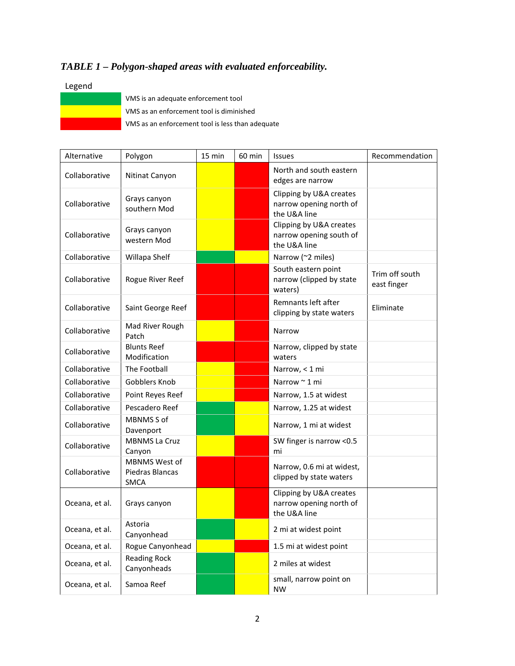# *TABLE 1 – Polygon-shaped areas with evaluated enforceability.*

### Legend

| VMS is a |
|----------|
| VMS as a |
| VMS as a |

n adequate enforcement tool an enforcement tool is diminished an enforcement tool is less than adequate

| Alternative    | Polygon                                                | 15 min | 60 min | <b>Issues</b>                                                      | Recommendation                |
|----------------|--------------------------------------------------------|--------|--------|--------------------------------------------------------------------|-------------------------------|
| Collaborative  | Nitinat Canyon                                         |        |        | North and south eastern<br>edges are narrow                        |                               |
| Collaborative  | Grays canyon<br>southern Mod                           |        |        | Clipping by U&A creates<br>narrow opening north of<br>the U&A line |                               |
| Collaborative  | Grays canyon<br>western Mod                            |        |        | Clipping by U&A creates<br>narrow opening south of<br>the U&A line |                               |
| Collaborative  | Willapa Shelf                                          |        |        | Narrow (~2 miles)                                                  |                               |
| Collaborative  | Rogue River Reef                                       |        |        | South eastern point<br>narrow (clipped by state<br>waters)         | Trim off south<br>east finger |
| Collaborative  | Saint George Reef                                      |        |        | Remnants left after<br>clipping by state waters                    | Eliminate                     |
| Collaborative  | Mad River Rough<br>Patch                               |        |        | Narrow                                                             |                               |
| Collaborative  | <b>Blunts Reef</b><br>Modification                     |        |        | Narrow, clipped by state<br>waters                                 |                               |
| Collaborative  | The Football                                           |        |        | Narrow, < 1 mi                                                     |                               |
| Collaborative  | Gobblers Knob                                          |        |        | Narrow ~ 1 mi                                                      |                               |
| Collaborative  | Point Reyes Reef                                       |        |        | Narrow, 1.5 at widest                                              |                               |
| Collaborative  | Pescadero Reef                                         |        |        | Narrow, 1.25 at widest                                             |                               |
| Collaborative  | MBNMS S of<br>Davenport                                |        |        | Narrow, 1 mi at widest                                             |                               |
| Collaborative  | <b>MBNMS La Cruz</b><br>Canyon                         |        |        | SW finger is narrow <0.5<br>mi                                     |                               |
| Collaborative  | <b>MBNMS West of</b><br>Piedras Blancas<br><b>SMCA</b> |        |        | Narrow, 0.6 mi at widest,<br>clipped by state waters               |                               |
| Oceana, et al. | Grays canyon                                           |        |        | Clipping by U&A creates<br>narrow opening north of<br>the U&A line |                               |
| Oceana, et al. | Astoria<br>Canyonhead                                  |        |        | 2 mi at widest point                                               |                               |
| Oceana, et al. | Rogue Canyonhead                                       |        |        | 1.5 mi at widest point                                             |                               |
| Oceana, et al. | <b>Reading Rock</b><br>Canyonheads                     |        |        | 2 miles at widest                                                  |                               |
| Oceana, et al. | Samoa Reef                                             |        |        | small, narrow point on<br><b>NW</b>                                |                               |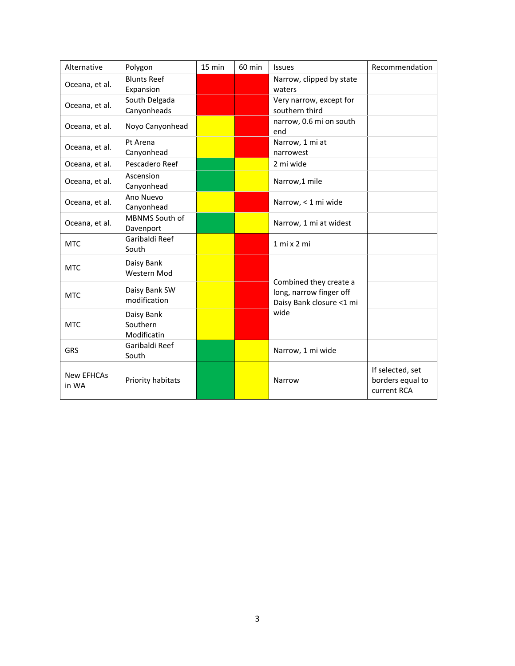| Alternative                | Polygon                               | 15 min | 60 min | <b>Issues</b>                                                                         | Recommendation                                      |
|----------------------------|---------------------------------------|--------|--------|---------------------------------------------------------------------------------------|-----------------------------------------------------|
| Oceana, et al.             | <b>Blunts Reef</b><br>Expansion       |        |        | Narrow, clipped by state<br>waters                                                    |                                                     |
| Oceana, et al.             | South Delgada<br>Canyonheads          |        |        | Very narrow, except for<br>southern third                                             |                                                     |
| Oceana, et al.             | Noyo Canyonhead                       |        |        | narrow, 0.6 mi on south<br>end                                                        |                                                     |
| Oceana, et al.             | Pt Arena<br>Canyonhead                |        |        | Narrow, 1 mi at<br>narrowest                                                          |                                                     |
| Oceana, et al.             | Pescadero Reef                        |        |        | 2 mi wide                                                                             |                                                     |
| Oceana, et al.             | Ascension<br>Canyonhead               |        |        | Narrow,1 mile                                                                         |                                                     |
| Oceana, et al.             | Ano Nuevo<br>Canyonhead               |        |        | Narrow, < 1 mi wide                                                                   |                                                     |
| Oceana, et al.             | MBNMS South of<br>Davenport           |        |        | Narrow, 1 mi at widest                                                                |                                                     |
| <b>MTC</b>                 | Garibaldi Reef<br>South               |        |        | 1 mi x 2 mi                                                                           |                                                     |
| <b>MTC</b>                 | Daisy Bank<br>Western Mod             |        |        | Combined they create a<br>long, narrow finger off<br>Daisy Bank closure <1 mi<br>wide |                                                     |
| <b>MTC</b>                 | Daisy Bank SW<br>modification         |        |        |                                                                                       |                                                     |
| <b>MTC</b>                 | Daisy Bank<br>Southern<br>Modificatin |        |        |                                                                                       |                                                     |
| GRS                        | Garibaldi Reef<br>South               |        |        | Narrow, 1 mi wide                                                                     |                                                     |
| <b>New EFHCAs</b><br>in WA | Priority habitats                     |        |        | Narrow                                                                                | If selected, set<br>borders equal to<br>current RCA |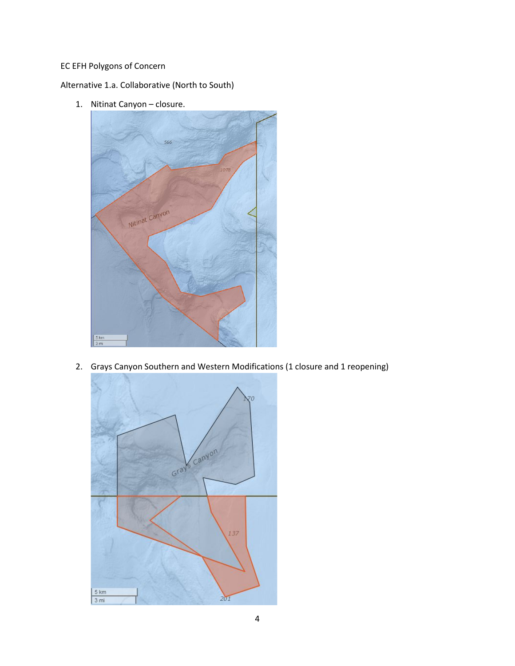## EC EFH Polygons of Concern

Alternative 1.a. Collaborative (North to South)

1. Nitinat Canyon – closure.



2. Grays Canyon Southern and Western Modifications (1 closure and 1 reopening)

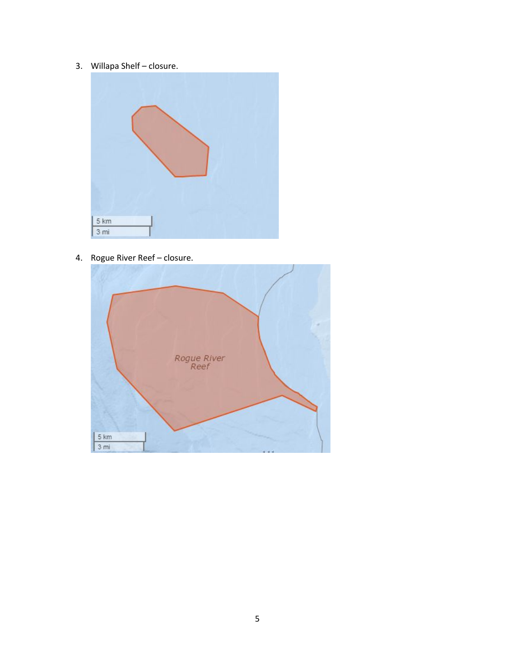3. Willapa Shelf – closure.



4. Rogue River Reef – closure.

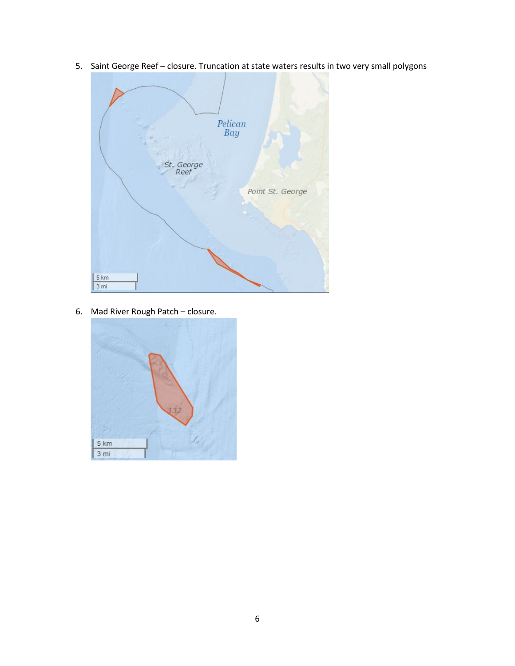5. Saint George Reef – closure. Truncation at state waters results in two very small polygons



6. Mad River Rough Patch – closure.

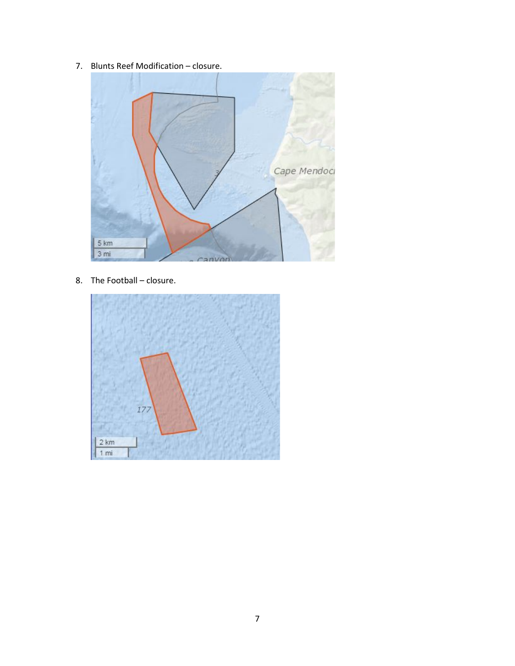7. Blunts Reef Modification – closure.



8. The Football – closure.

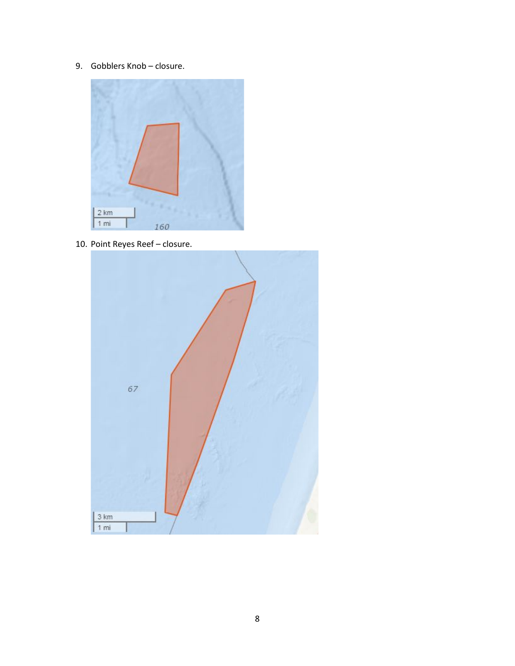9. Gobblers Knob – closure.



10. Point Reyes Reef – closure.

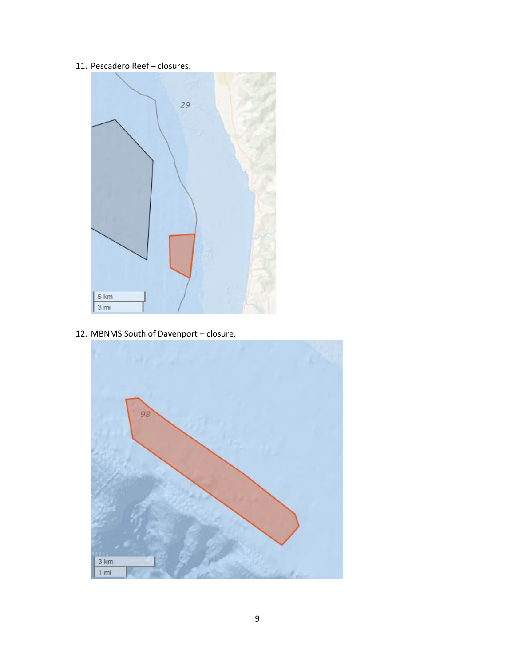11. Pescadero Reef – closures.



12. MBNMS South of Davenport – closure.

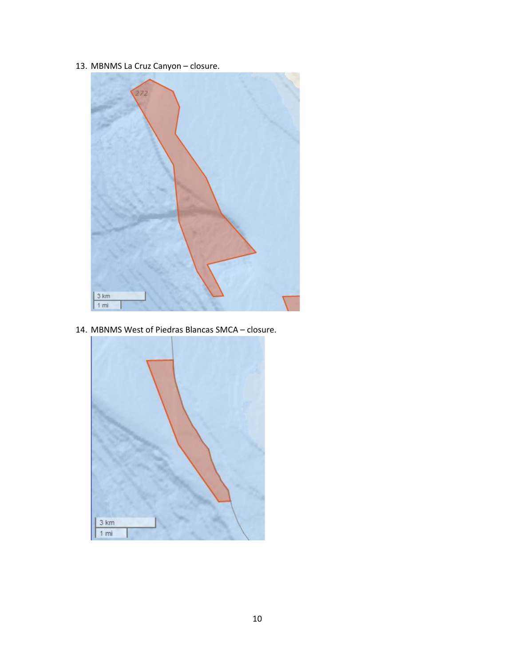13. MBNMS La Cruz Canyon – closure.



14. MBNMS West of Piedras Blancas SMCA – closure.

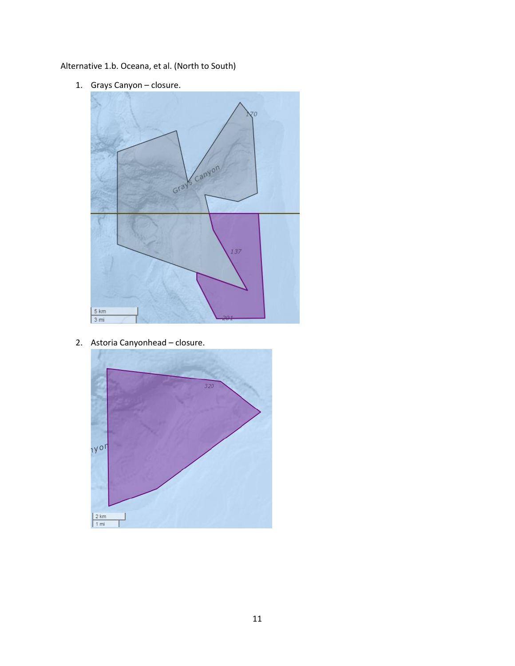Alternative 1.b. Oceana, et al. (North to South)

1. Grays Canyon – closure.



2. Astoria Canyonhead – closure.

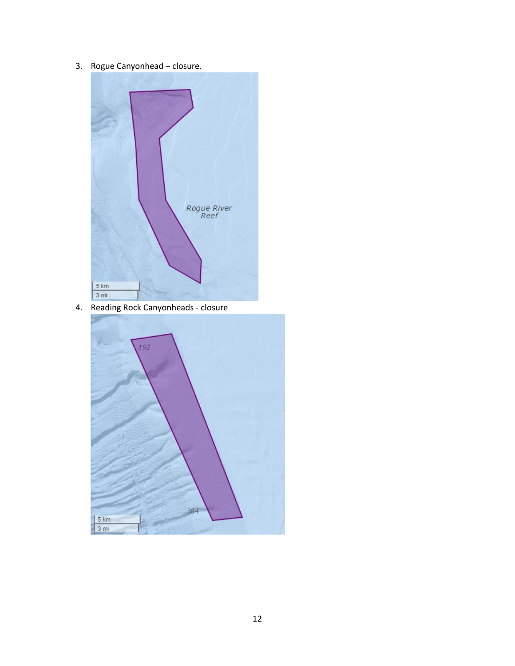3. Rogue Canyonhead – closure.



4. Reading Rock Canyonheads - closure

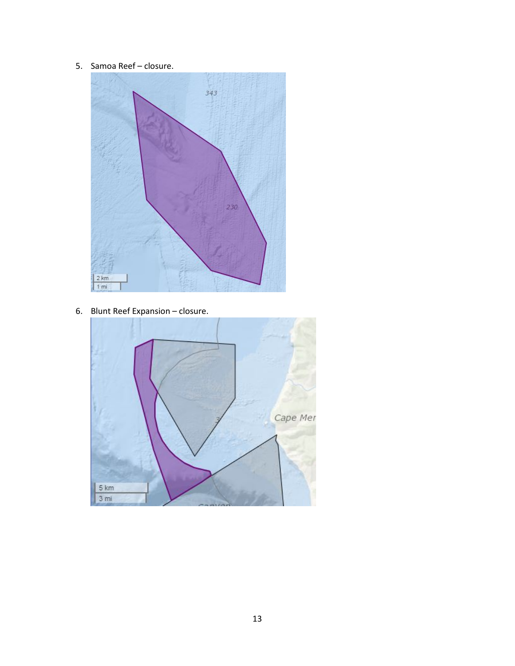5. Samoa Reef – closure.



6. Blunt Reef Expansion – closure.

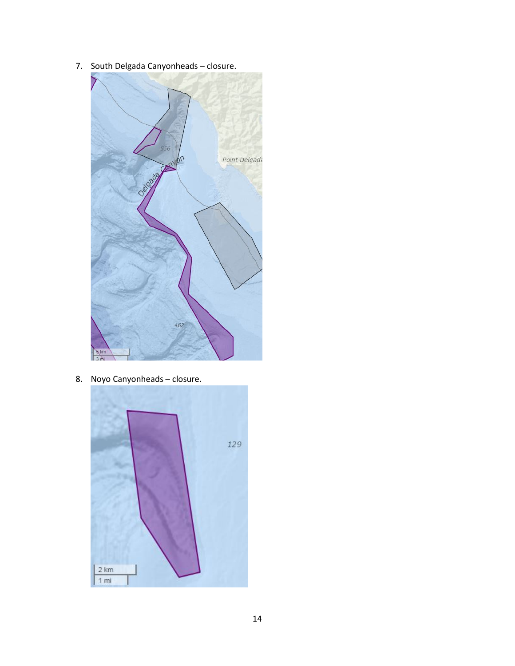7. South Delgada Canyonheads – closure.



8. Noyo Canyonheads – closure.

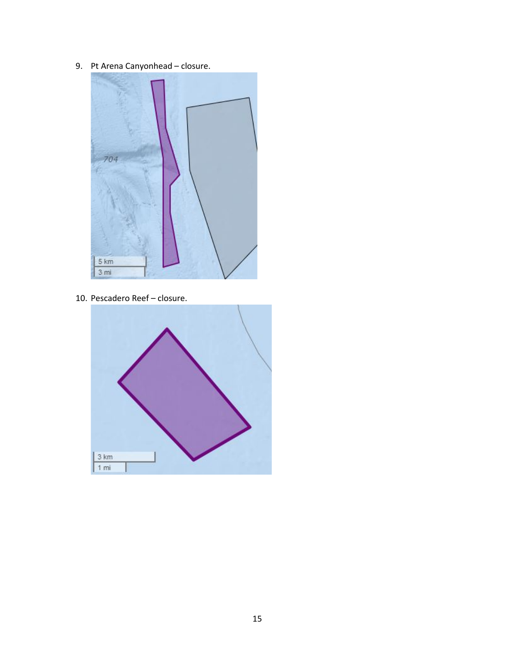9. Pt Arena Canyonhead – closure.



10. Pescadero Reef – closure.

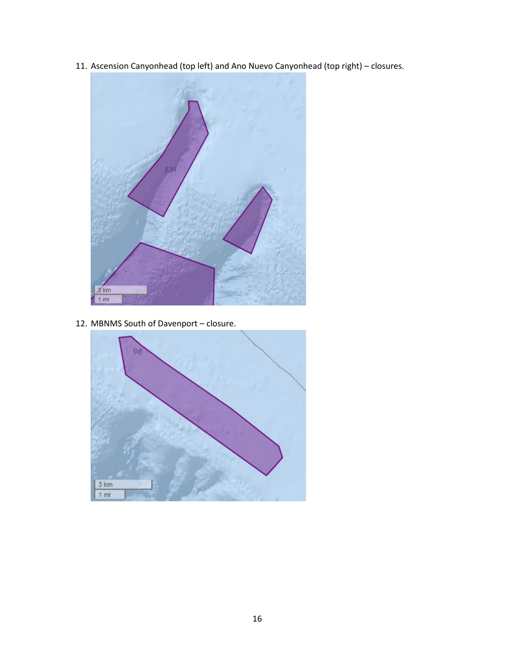11. Ascension Canyonhead (top left) and Ano Nuevo Canyonhead (top right) – closures.



12. MBNMS South of Davenport – closure.

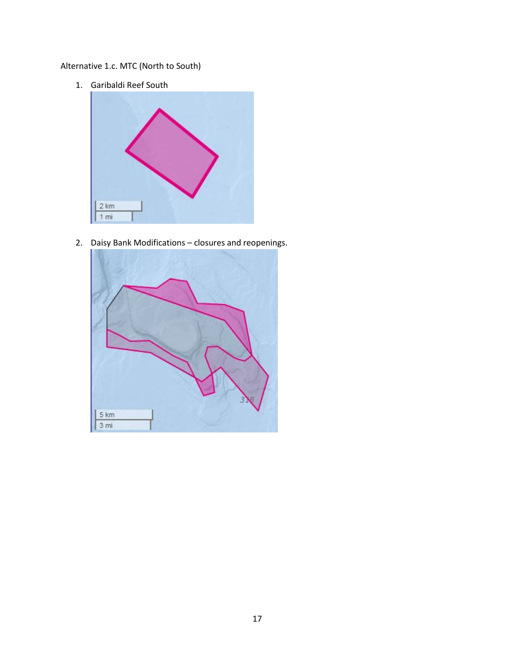## Alternative 1.c. MTC (North to South)

1. Garibaldi Reef South



2. Daisy Bank Modifications – closures and reopenings.